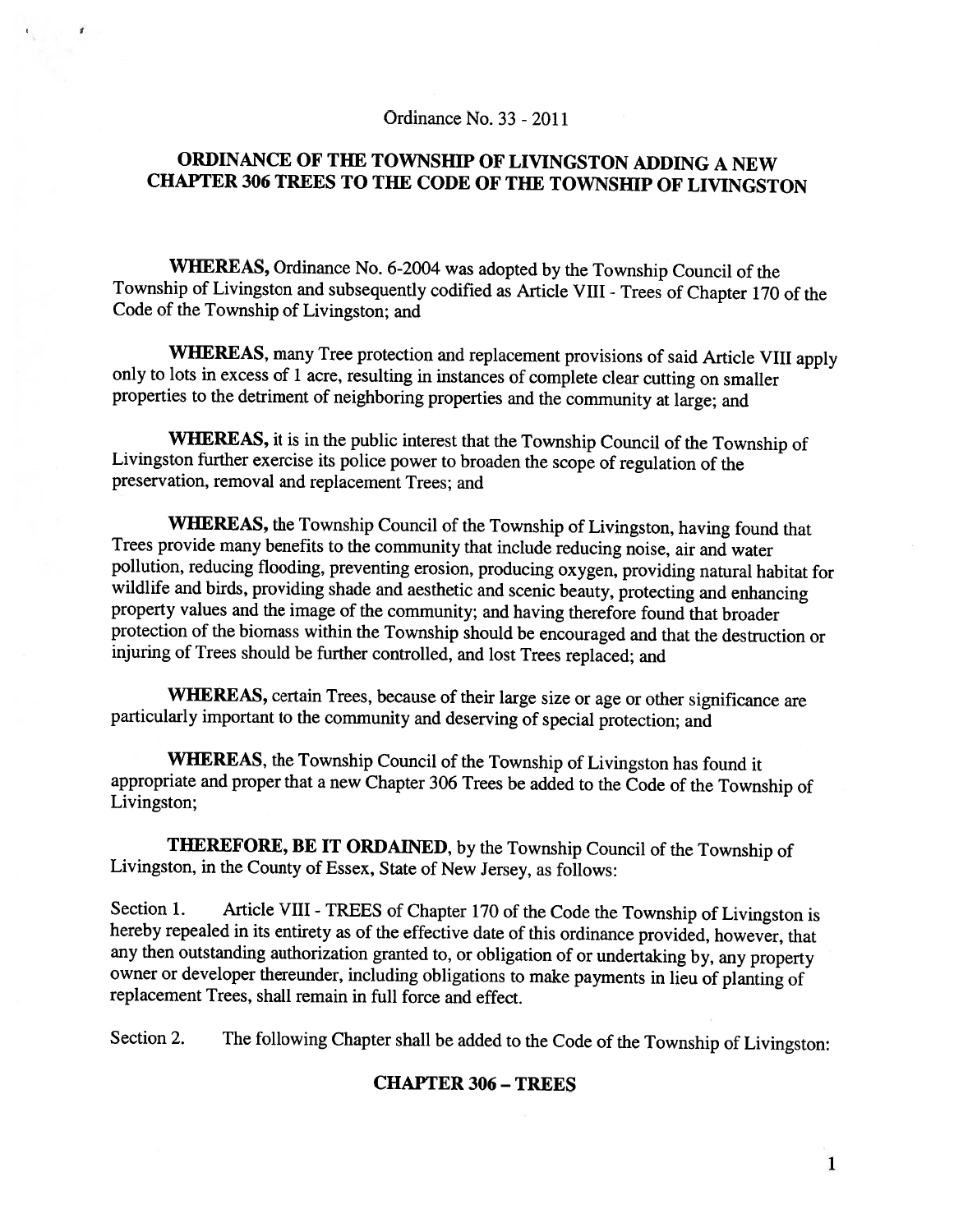#### Ordinance No. 33 -2011

 $\mathbf{r}$ 

# ORDINANCE OF THE TOWNSHIP OF LIVINGSTON ADDING <sup>A</sup> NEW CHAPTER 306 TREES TO THE CODE OF THE TOWNSHIP OF LIVINGSTON

WHEREAS, Ordinance No. 6-2004 was adopted by the Township Council of the Township of Livingston and subsequently codified as Article VIII - Trees of Chapter 170 of the Code of the Township of Livingston; and

WHEREAS, many Tree protection and replacement provisions of said Article VIII apply only to lots in excess of 1 acre, resulting in instances of complete clear cutting on smaller properties to the detriment of neighboring properties and the community at large; and

WHEREAS, it is in the public interest that the Township Council of the Township of Livingston further exercise its police power to broaden the scope of regulation of the preservation, removal and replacement Trees; and

WHEREAS, the Township Council of the Township of Livingston, having found that Trees provide many benefits to the community that include reducing noise, air and water pollution, reducing flooding, preventing erosion, producing oxygen, providing natural habitat for wildlife and birds, providing shade and aesthetic and scenic beauty, protecting and enhancing property values and the image of the community; and having therefore found that broader protection of the biomass within the Township should be encouraged and that the destruction or injuring of Trees should be further controlled, and lost Trees replaced; and

WHEREAS, certain Trees, because of their large size or age or other significance are particularly important to the community and deserving of special protection; and

WHEREAS, the Township Council of the Township of Livingston has found it appropriate and proper that <sup>a</sup> new Chapter <sup>306</sup> Trees be added to the Code of the Township of Livingston;

THEREFORE, BE IT ORDAINED, by the Township Council of the Township of Livingston, in the County of Essex, State of New Jersey, as follows:

Section 1. Article VIII - TREES of Chapter 170 of the Code the Township of Livingston is hereby repealed in its entirety as of the effective date of this ordinance provided, however, that any then outstanding authorization granted to, or obligation of or undertaking by, any property owner or developer thereunder, including obligations to make payments in lieu of <sup>p</sup>lanting of replacement Trees, shall remain in full force and effect.

Section 2. The following Chapter shall be added to the Code of the Township of Livingston:

### CHAPTER 306 - TREES

1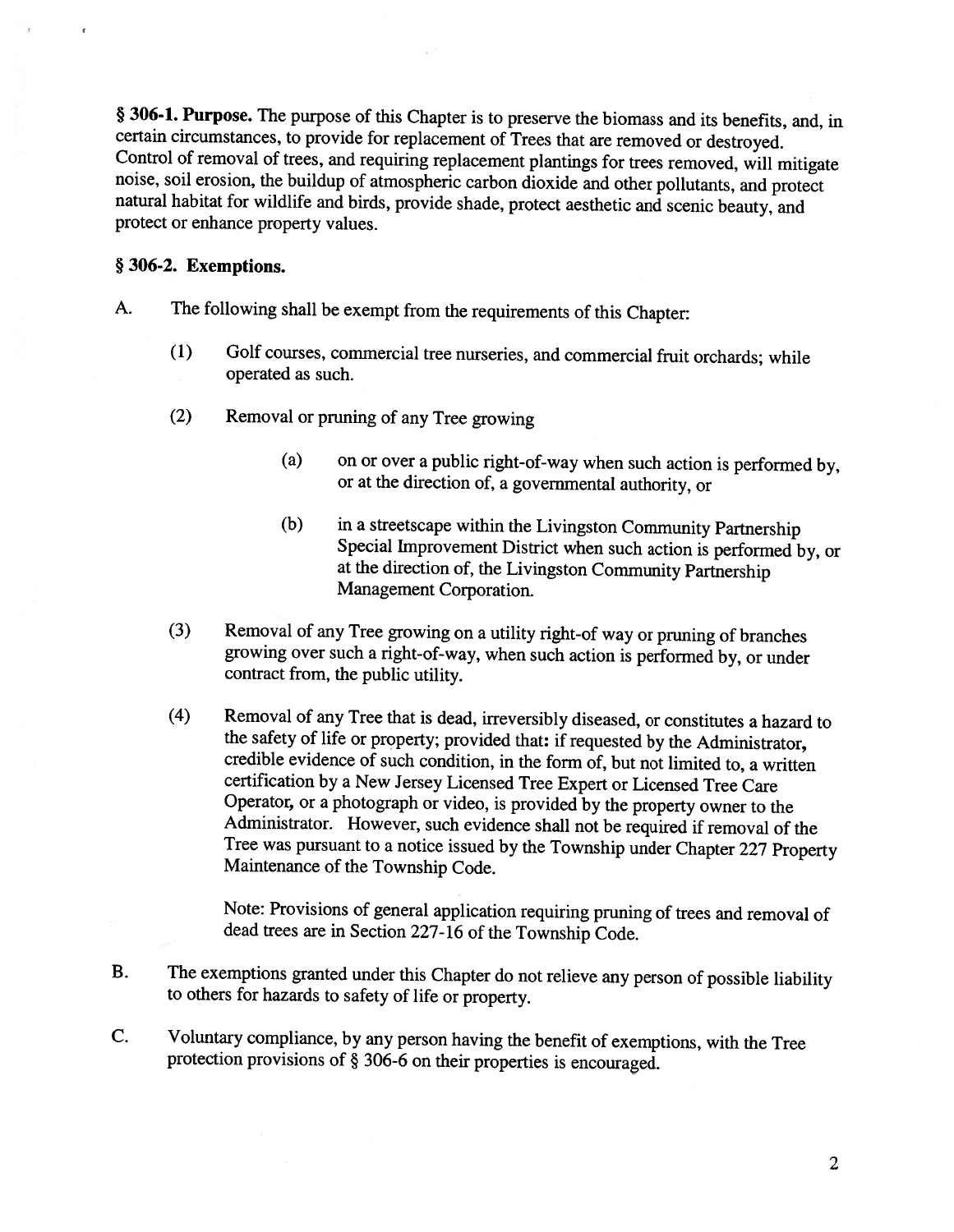§ 306-1. Purpose. The purpose of this Chapter is to preserve the biomass and its benefits, and, in certain circumstances, to provide for replacement of Trees that are removed or destroyed. Control of removal of trees, and protect or enhance property values.

## § 306-2. Exemptions.

- A. The following shall be exempt from the requirements of this Chapter:
	- (1) Golf courses, commercial tree nurseries, and commercial fruit orchards; while operated as such.
	- (2) Removal or pruning of any Tree growing
		- (a) on or over <sup>a</sup> public right-of-way when such action is performed by, or at the direction of, <sup>a</sup> governmental authority, or
		- (b) in <sup>a</sup> streetscape within the Livingston Community Partnership Special Improvement District when such action is performed by, or at the direction of, the Livingston Community Partnership Management Corporation.
	- (3) Removal of any Tree growing on <sup>a</sup> utility right-of way or pruning of branches growing over such <sup>a</sup> right-of-way, when such action is performed by, or under contract from, the public utility.
	- (4) Removal of any Tree that is dead, irreversibly diseased, or constitutes <sup>a</sup> hazard to the safety of life or property; provided that: if requested by the Administrator, credible evidence of such condition, in the form of, but not limited to, <sup>a</sup> written certification by <sup>a</sup> New Jersey Licensed Tree Expert or Licensed Tree Care Operator, or a photograph or video, is provided by the property owner to the Administrator. However, such evidence shall not be required if removal of the Tree was pursuant to <sup>a</sup> notice issued by the Township under Chapter <sup>227</sup> Property Maintenance of the Township Code.

Note: Provisions of general application requiring pruning of trees and removal of dead trees are in Section 227-16 of the Township Code.

- B. The exemptions granted under this Chapter do not relieve any person of possible liability to others for hazards to safety of life or property.
- C. Voluntary compliance, by any person having the benefit of exemptions, with the Tree protection provisions of § 306-6 on their properties is encouraged.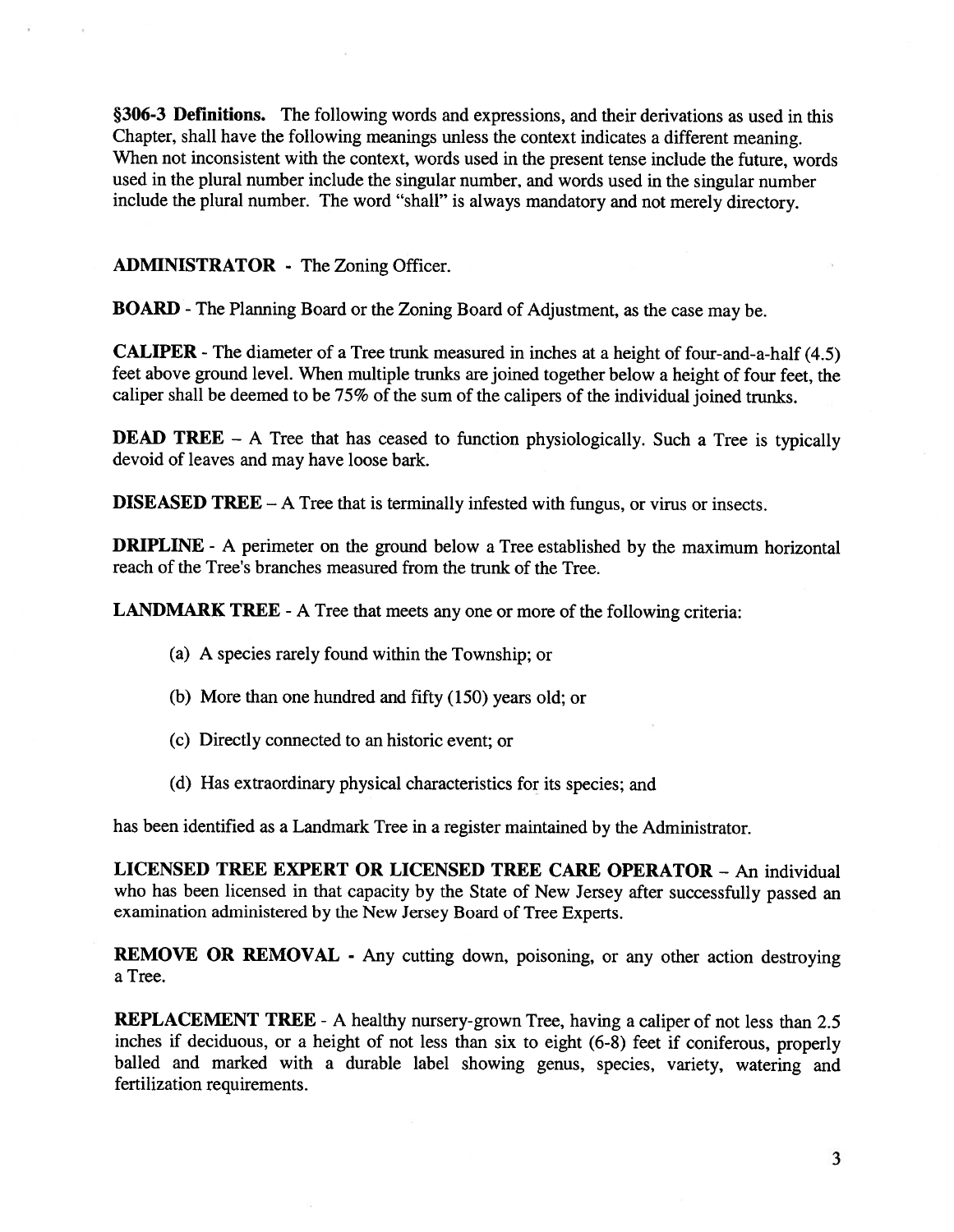§306-3 Definitions. The following words and expressions, and their derivations as used in this Chapter, shall have the following meanings unless the context indicates <sup>a</sup> different meaning. When not inconsistent with the context, words used in the present tense include the future, words used in the <sup>p</sup>lural number include the singular number, and words used in the singular number include the <sup>p</sup>lural number. The word "shall" is always mandatory and not merely directory.

## ADMINISTRATOR - The Zoning Officer.

BOARD -The Planning Board or the Zoning Board of Adjustment, as the case may be.

CALIPER -The diameter of <sup>a</sup> Tree trunk measured in inches at <sup>a</sup> height of four-and-a-half (4.5) feet above groun<sup>d</sup> level. When multiple trunks are joined together below <sup>a</sup> height of four feet, the caliper shall be deemed to be 75% of the sum of the calipers of the individual joined trunks.

DEAD TREE – A Tree that has ceased to function physiologically. Such a Tree is typically devoid of leaves and may have loose bark.

DISEASED TREE — <sup>A</sup> Tree that is terminally infested with fungus, or virus or insects.

**DRIPLINE** - A perimeter on the ground below a Tree established by the maximum horizontal reach of the Tree's branches measured from the trunk of the Tree.

LANDMARK TREE - A Tree that meets any one or more of the following criteria:

- (a) A species rarely found within the Township; or
- (b) More than one hundred and fifty (150) years old; or
- (c) Directly connected to an historic event; or
- (d) Has extraordinary <sup>p</sup>hysical characteristics for its species; and

has been identified as <sup>a</sup> Landmark Tree in <sup>a</sup> register maintained by the Administrator.

LICENSED TREE EXPERT OR LICENSED TREE CARE OPERATOR - An individual who has been licensed in that capacity by the State of New Jersey after successfully passe<sup>d</sup> an examination administered by the New Jersey Board of Tree Experts.

REMOVE OR REMOVAL - Any cutting down, poisoning, or any other action destroying <sup>a</sup> Tree.

REPLACEMENT TREE - A healthy nursery-grown Tree, having a caliper of not less than 2.5 inches if deciduous, or <sup>a</sup> height of not less than six to eight (6-8) feet if coniferous, properly balled and marked with <sup>a</sup> durable label showing genus, species, variety, watering and fertilization requirements.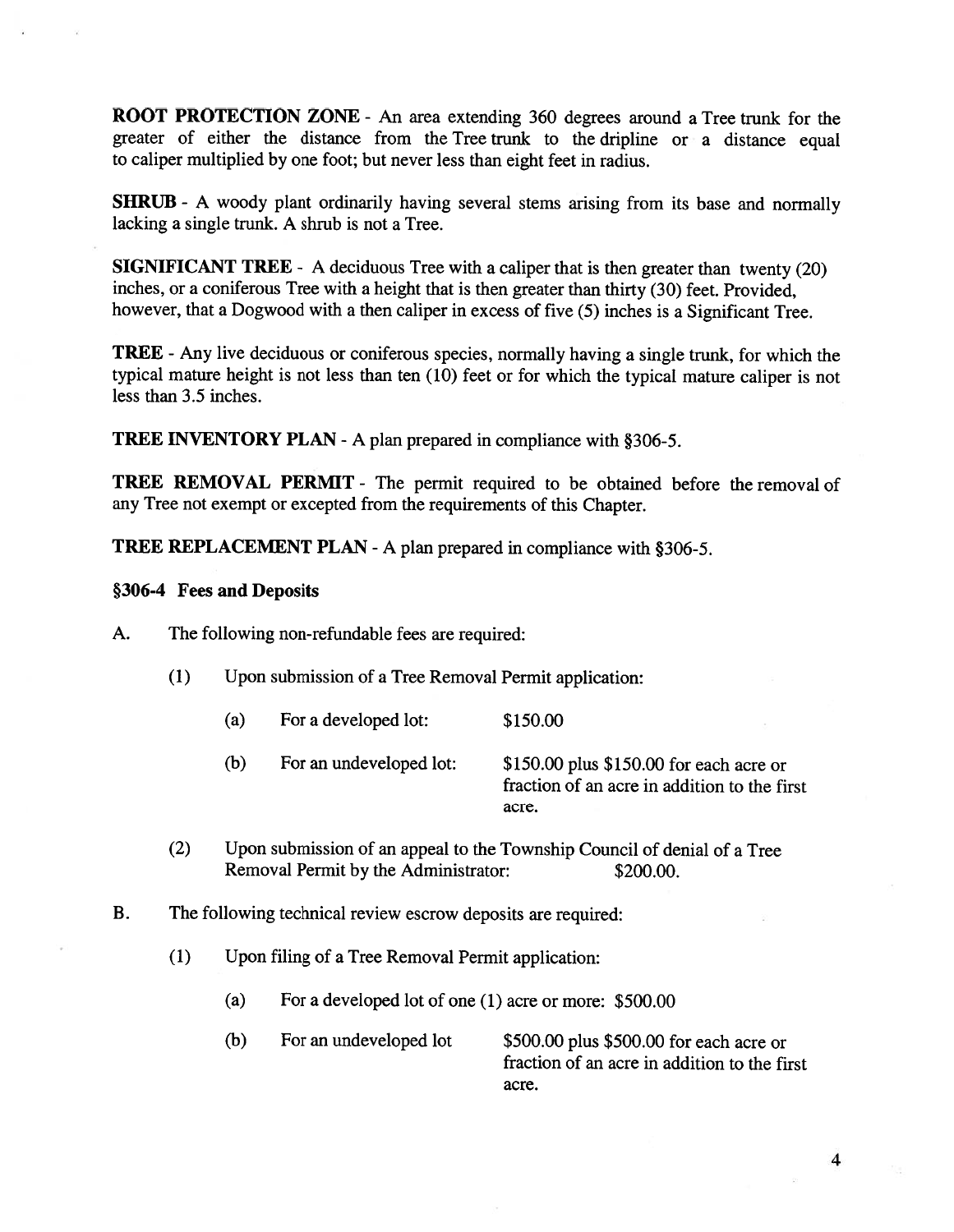ROOT PROTECTION ZONE - An area extending 360 degrees around a Tree trunk for the greater of either the distance from the Tree trunk to the dripline or <sup>a</sup> distance equa<sup>l</sup> to caliper multiplied by one foot; but never less than eight feet in radius.

SHRUB - <sup>A</sup> woody <sup>p</sup>lant ordinarily having several stems arising from its base and normally lacking <sup>a</sup> single trunk. A shrub is not <sup>a</sup> Tree.

SIGNIFICANT TREE - <sup>A</sup> deciduous Tree with <sup>a</sup> caliper that is then greater than twenty (20) inches, or <sup>a</sup> coniferous Tree with <sup>a</sup> height that is then greater than thirty (30) feet. Provided, however, that <sup>a</sup> Dogwood with <sup>a</sup> then caliper in excess of five (5) inches is <sup>a</sup> Significant Tree.

TREE -Any live deciduous or coniferous species, normally having <sup>a</sup> single trunk, for which the typical mature height is not less than ten (10) feet or for which the typical mature caliper is not less than 3.5 inches.

TREE INVENTORY PLAN -A plan prepared in compliance with §306-5.

TREE REMOVAL PERMIT - The permit required to be obtained before the removal of any Tree not exemp<sup>t</sup> or excepted from the requirements of this Chapter.

TREE REPLACEMENT PLAN -A <sup>p</sup>lan prepared in compliance with §306-5.

### §306-4 Fees and Deposits

A. The following non-refundable fees are required:

- (1) Upon submission of <sup>a</sup> Tree Removal Permit application:
	- (a) For <sup>a</sup> developed lot: \$150.00
	- (b) For an undeveloped lot: \$150.00 <sup>p</sup>lus \$150.00 for each acre or fraction of an acre in addition to the first acre.
- (2) Upon submission of an appeal to the Township Council of denial of <sup>a</sup> Tree Removal Permit by the Administrator: \$200.00.
- B. The following technical review escrow deposits are required:
	- (1) Upon filing of <sup>a</sup> Tree Removal Permit application:
		- (a) For <sup>a</sup> developed lot of one (1) acre or more: \$500.00
		- (b) For an undeveloped lot \$500.00 <sup>p</sup>lus \$500.00 for each acre or fraction of an acre in addition to the first acre.

4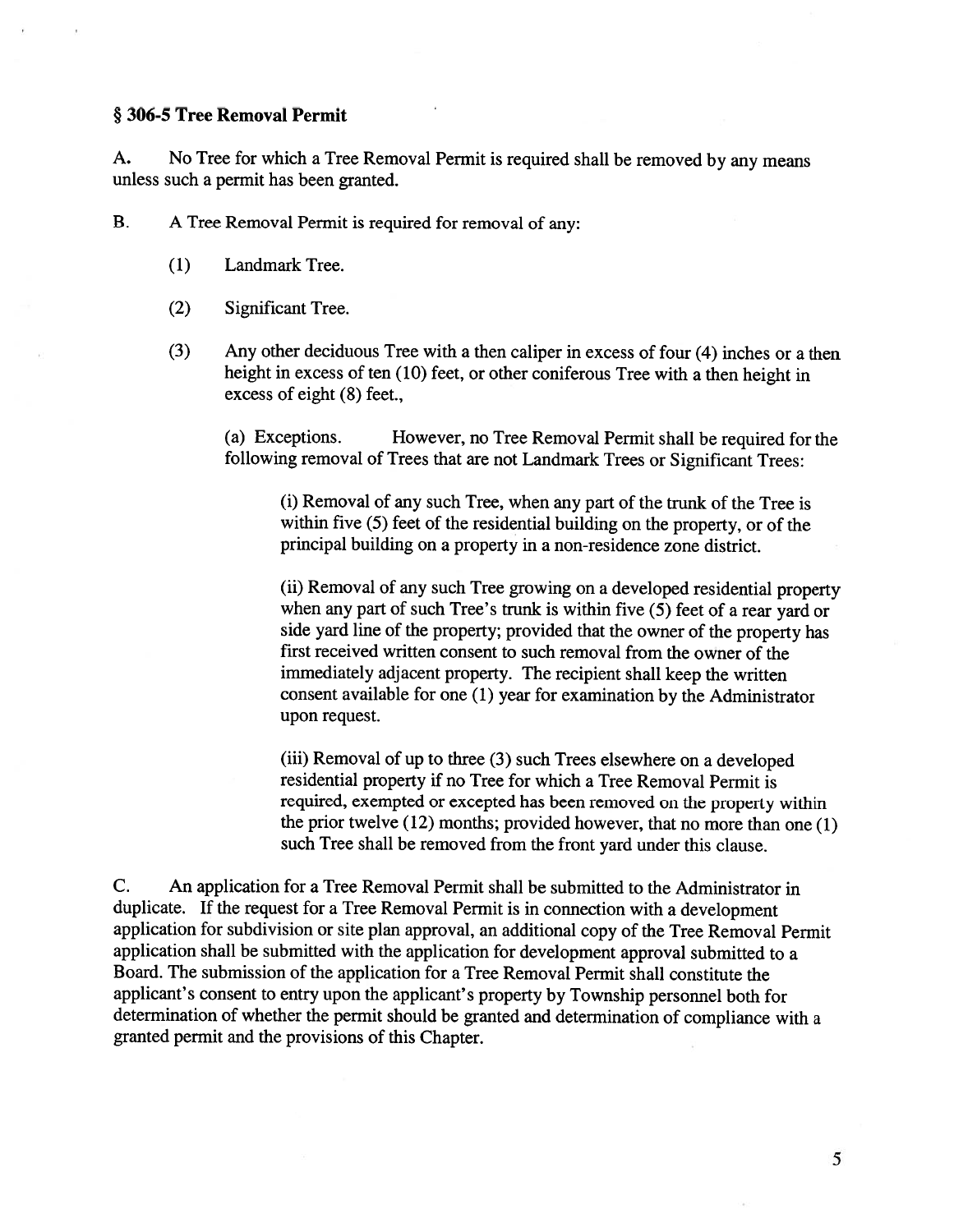#### § 306-5 Tree Removal Permit

A. No Tree for which <sup>a</sup> Tree Removal Permit is required shall be removed by any means unless such <sup>a</sup> permit has been granted.

B. <sup>A</sup> Tree Removal Permit is required for removal of any:

- (1) Landmark Tree.
- (2) Significant Tree.
- (3) Any other deciduous Tree with <sup>a</sup> then caliper in excess of four (4) inches or <sup>a</sup> then height in excess of ten (10) feet, or other coniferous Tree with <sup>a</sup> then height in excess of eight (8) feet.,

(a) Exceptions. However, no Tree Removal Permit shall be required for the following removal of Trees that are not Landmark Trees or Significant Trees:

(i) Removal of any such Tree, when any par<sup>t</sup> of the trunk of the Tree is within five (5) feet of the residential building on the property, or of the principal building on <sup>a</sup> property in <sup>a</sup> non-residence zone district.

(ii) Removal of any such Tree growing on <sup>a</sup> developed residential property when any part of such Tree's trunk is within five (5) feet of a rear yard or side yar<sup>d</sup> line of the property; provided that the owner of the property has first received written consent to such removal from the owner of the immediately adjacent property. The recipient shall keep the written consent available for one (1) year for examination by the Administrator upon request.

(iii) Removal of up to three (3) such Trees elsewhere on <sup>a</sup> developed residential property if no Tree for which <sup>a</sup> Tree Removal Permit is required, exempted or excepted has been removed on the property within the prior twelve (12) months; provided however, that no more than one (1) such Tree shall be removed from the front yard under this clause.

C. An application for <sup>a</sup> Tree Removal Permit shall be submitted to the Administrator in duplicate. If the reques<sup>t</sup> for <sup>a</sup> Tree Removal Permit is in connection with <sup>a</sup> development application for subdivision or site <sup>p</sup>lan approval, an additional copy of the Tree Removal Permit application shall be submitted with the application for development approva<sup>l</sup> submitted to <sup>a</sup> Board. The submission of the application for <sup>a</sup> Tree Removal Permit shall constitute the applicant's consent to entry upon the applicant's property by Township personne<sup>l</sup> both for determination of whether the permit should be granted and determination of compliance with <sup>a</sup> granted permit and the provisions of this Chapter.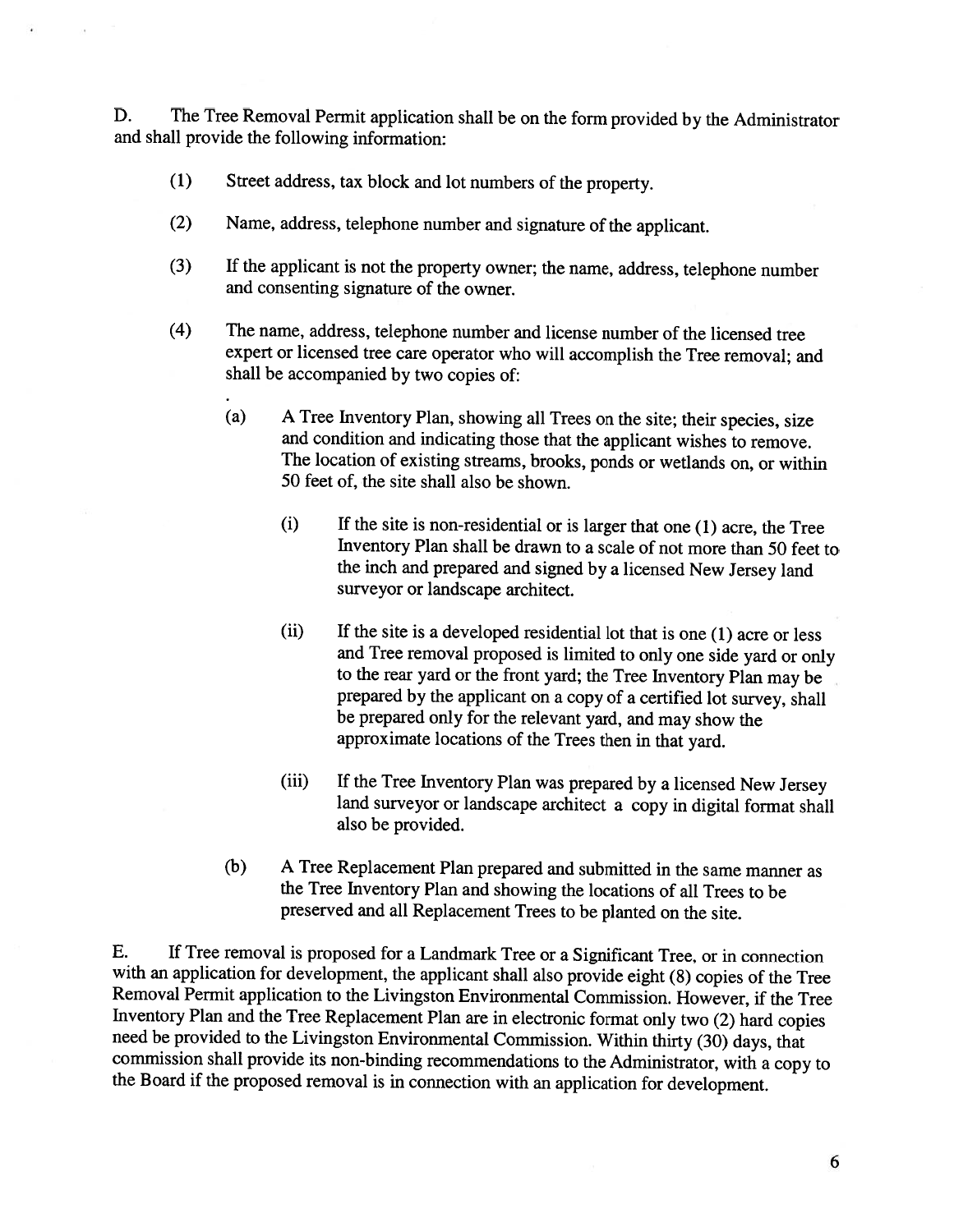D. The Tree Removal Permit application shall be on the form provided by the Administrator and shall provide the following information:

- (1) Street address, tax block and lot numbers of the property.
- (2) Name, address, telephone number and signature of the applicant.
- (3) If the applicant is not the property owner; the name, address, telephone number and consenting signature of the owner.
- (4) The name, address, telephone number and license number of the licensed tree expert or licensed tree care operator who will accomplish the Tree removal; and shall be accompanied by two copies of:
	- (a) <sup>A</sup> Tree Inventory Plan, showing all Trees on the site; their species, size and condition and indicating those that the applicant wishes to remove. The location of existing streams, brooks, ponds or wetlands on, or within 50 feet of, the site shall also be shown.
		- (i) If the site is non-residential or is larger that one (1) acre, the Tree Inventory Plan shall be drawn to <sup>a</sup> scale of not more than 50 feet to the inch and prepared and signed by <sup>a</sup> licensed New Jersey land surveyor or landscape architect.
		- (ii) If the site is <sup>a</sup> developed residential lot that is one (1) acre or less and Tree removal proposed is limited to only one side yard or only to the rear yard or the front yard; the Tree Inventory Plan may be prepared by the applicant on <sup>a</sup> copy of <sup>a</sup> certified lot survey, shall be prepared only for the relevant yard, and may show the approximate locations of the Trees then in that yard.
		- (iii) If the Tree Inventory Plan was prepared by <sup>a</sup> licensed New Jersey land surveyor or landscape architect <sup>a</sup> copy in digital format shall also be provided.
	- (b) <sup>A</sup> Tree Replacement Plan prepared and submitted in the same manner as the Tree Inventory Plan and showing the locations of all Trees to be preserved and all Replacement Trees to be <sup>p</sup>lanted on the site.

E. If Tree removal is proposed for <sup>a</sup> Landmark Tree or <sup>a</sup> Significant Tree, or in connection with an application for development, the applicant shall also provide eight (8) copies of the Tree Removal Permit application to the Livingston Environmental Commission. However, if the Tree<br>Inventory Plan and the Tree Replacement Plan are in electronic format only two (2) hard copies need be provided to the Livingston Environmental Commission. Within thirty (30) days, that commission shall provide its non-binding recommendations to the Administrator, with a copy to the Board if the proposed removal is in connection with an application for development.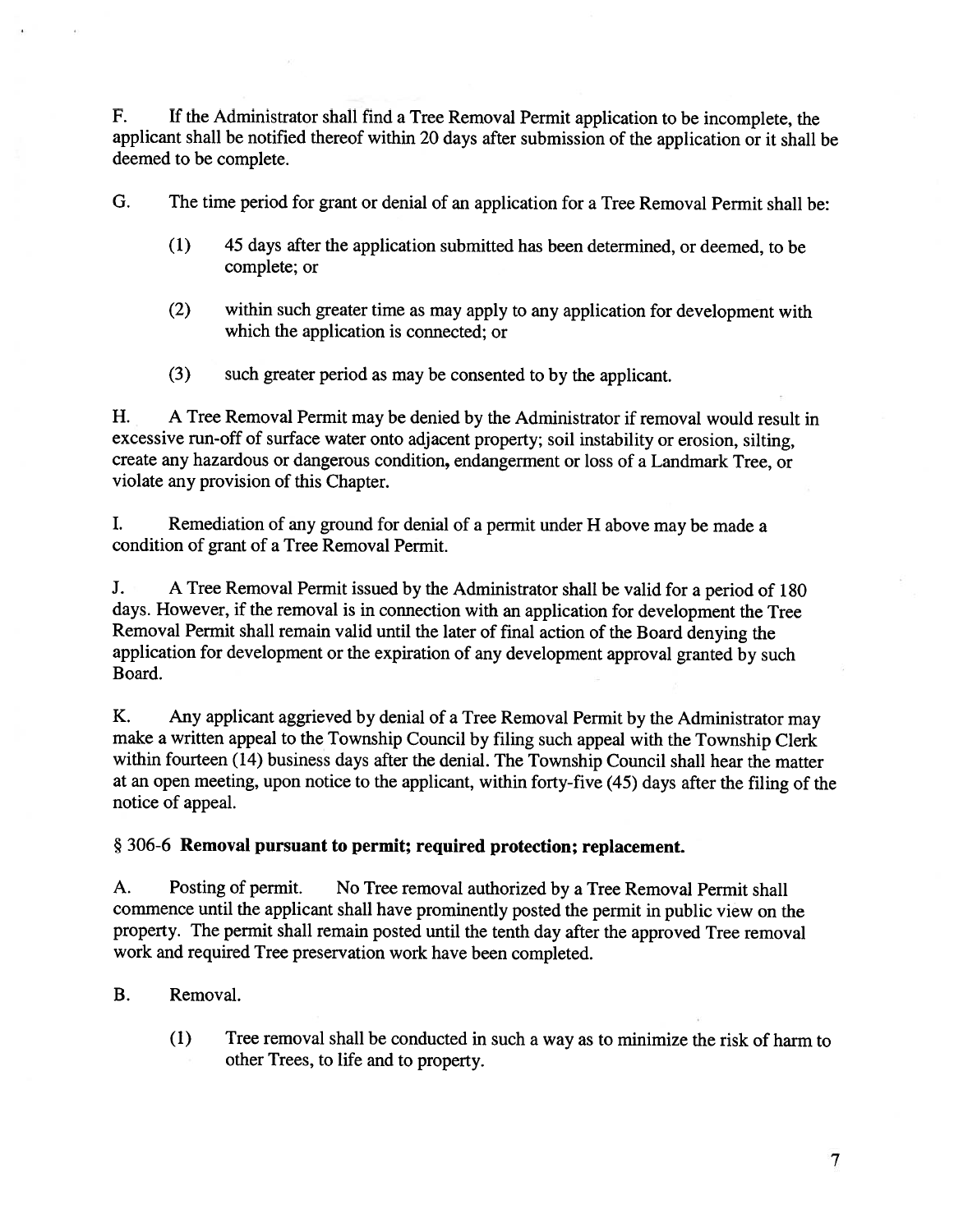F. If the Administrator shall find <sup>a</sup> Tree Removal Permit application to be incomplete, the applicant shall be notified thereof within <sup>20</sup> days after submission of the application or it shall be deemed to be complete.

G. The time period for gran<sup>t</sup> or denial of an application for <sup>a</sup> Tree Removal Permit shall be:

- (1) 45 days after the application submitted has been determined, or deemed, to be complete; or
- (2) within such greater time as may apply to any application for development with which the application is connected; or
- (3) such greater period as may be consented to by the applicant.

H. <sup>A</sup> Tree Removal Permit may be denied by the Administrator if removal would result in excessive run-off of surface water onto adjacent property; soil instability or erosion, silting, create any hazardous or dangerous condition, endangerment or loss of <sup>a</sup> Landmark Tree, or violate any provision of this Chapter.

I. Remediation of any groun<sup>d</sup> for denial of <sup>a</sup> permit under <sup>H</sup> above may be made <sup>a</sup> condition of gran<sup>t</sup> of <sup>a</sup> Tree Removal Permit.

J. <sup>A</sup> Tree Removal Permit issued by the Administrator shall be valid for <sup>a</sup> period of <sup>180</sup> days. However, if the removal is in connection with an application for development the Tree Removal Permit shall remain valid until the later of final action of the Board denying the application for development or the expiration of any development approva<sup>l</sup> granted by such Board.

K. Any applicant aggrieved by denial of <sup>a</sup> Tree Removal Permit by the Administrator may make <sup>a</sup> written appea<sup>l</sup> to the Township Council by filing such appea<sup>l</sup> with the Township Clerk within fourteen (14) business days after the denial. The Township Council shall hear the matter at an open meeting, upon notice to the applicant, within forty-five (45) days after the filing of the notice of appeal.

## § 306-6 Removal pursuant to permit; required protection; replacement.

A. Posting of permit. No Tree removal authorized by <sup>a</sup> Tree Removal Permit shall commence until the applicant shall have prominently posted the permit in public view on the property. The permit shall remain posted until the tenth day after the approve<sup>d</sup> Tree removal work and required Tree preservation work have been completed.

## B. Removal.

(1) Tree removal shall be conducted in such <sup>a</sup> way as to minimize the risk of harm to other Trees, to life and to property.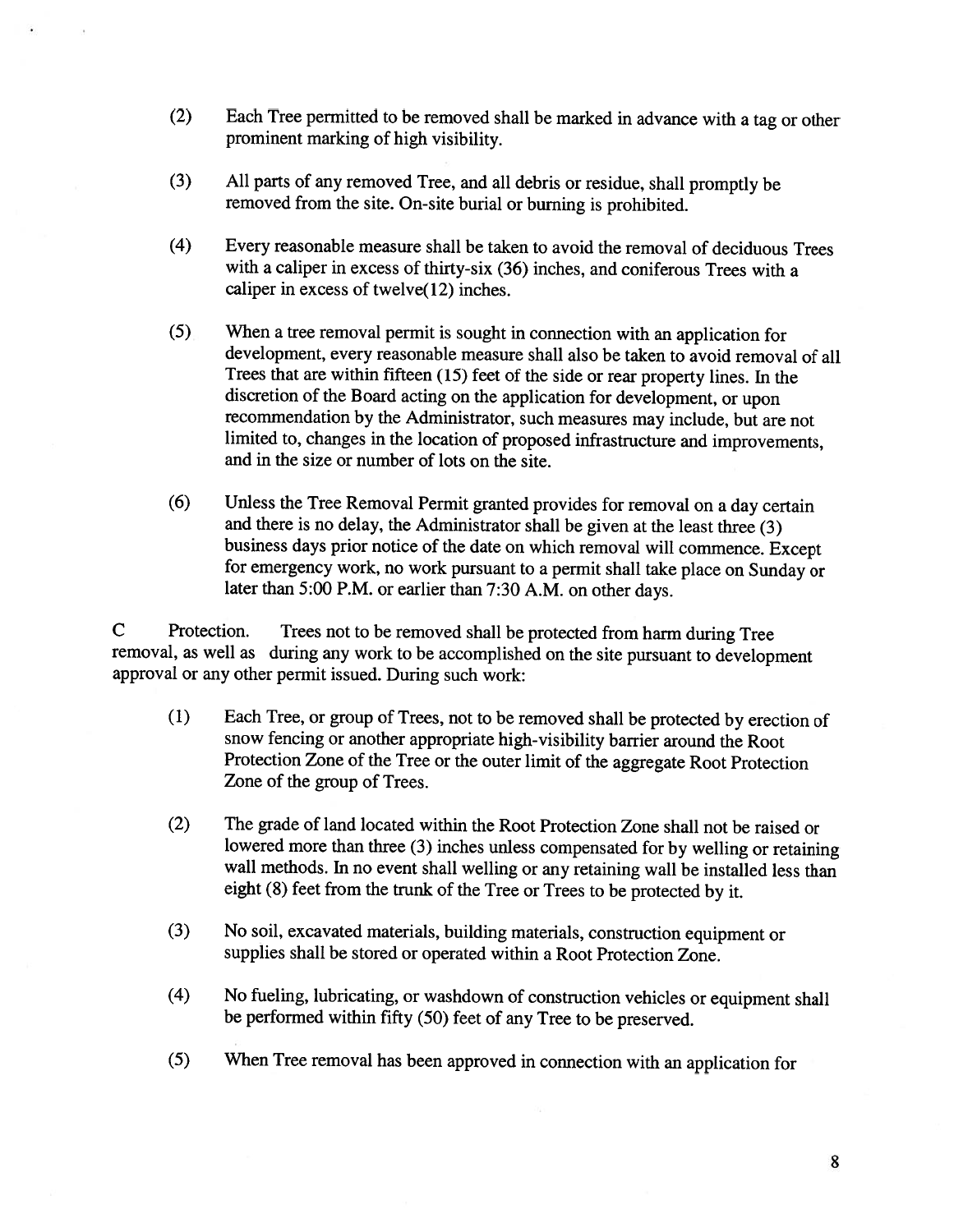- (2) Each Tree permitted to be removed shall be marked in advance with <sup>a</sup> tag or other prominent marking of high visibility.
- (3) All parts of any removed Tree, and all debris or residue, shall promptly be removed from the site. On-site burial or burning is prohibited.
- (4) Every reasonable measure shall be taken to avoid the removal of deciduous Trees with <sup>a</sup> caliper in excess of thirty-six (36) inches, and coniferous Trees with <sup>a</sup> caliper in excess of twelve(12) inches.
- (5) When <sup>a</sup> tree removal permit is sought in connection with an application for development, every reasonable measure shall also be taken to avoid removal of all Trees that are within fifteen (15) feet of the side or rear property lines. In the discretion of the Board acting on the application for development, or upon recommendation by the Administrator, such measures may include, but are not limited to, changes in the location of proposed infrastructure and improvements, and in the size or number of lots on the site.
- (6) Unless the Tree Removal Permit granted provides for removal on <sup>a</sup> day certain and there is no delay, the Administrator shall be <sup>g</sup>iven at the least three (3) business days prior notice of the date on which removal will commence. Except for emergency work, no work pursuant to <sup>a</sup> permit shall take <sup>p</sup>lace on Sunday or later than 5:00 P.M. or earlier than 7:30 A.M. on other days.

<sup>C</sup> Protection. Trees not to be removed shall be protected from harm during Tree removal, as well as during any work to be accomplished on the site pursuant to development approval or any other permit issued. During such work:

- (1) Each Tree, or group of Trees, not to be removed shall be protected by erection of snow fencing or another appropriate high-visibility barrier around the Root Protection Zone of the Tree or the outer limit of the aggregate Root Protection Zone of the group of Trees.
- (2) The grade of land located within the Root Protection Zone shall not be raised or lowered more than three (3) inches unless compensated for by welling or retaining wall methods. In no event shall welling or any retaining wall be installed less than eight (8) feet from the trunk of the Tree or Trees to be protected by it.
- (3) No soil, excavated materials, building materials, construction equipment or supplies shall be stored or operated within <sup>a</sup> Root Protection Zone.
- (4) No fueling, lubricating, or washdown of construction vehicles or equipment shall be performed within fifty (50) feet of any Tree to be preserved.
- (5) When Tree removal has been approved in connection with an application for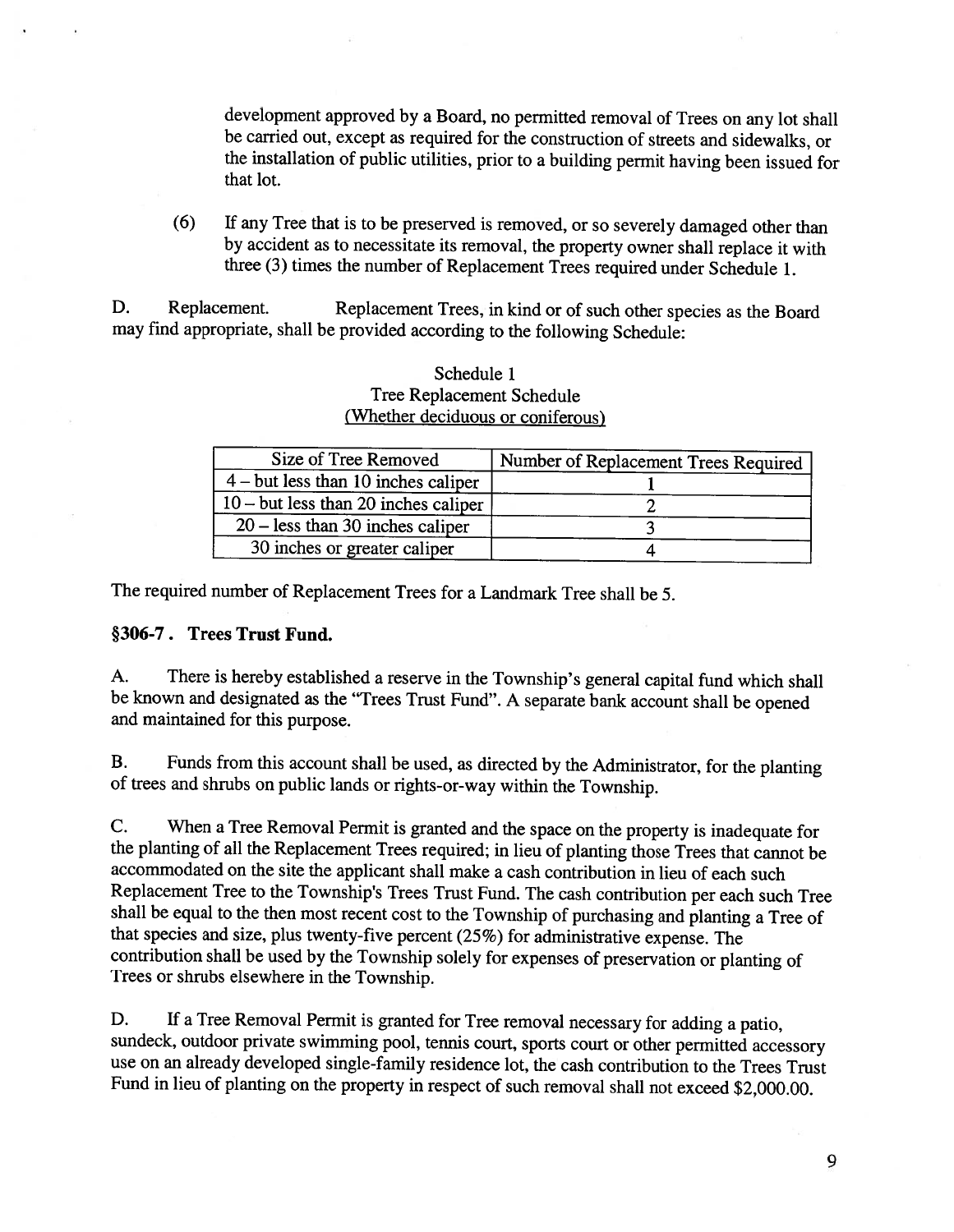development approved by <sup>a</sup> Board, no permitted removal of Trees on any lot shall be carried out, except as required for the construction of streets and sidewalks, or the installation of public utilities, prior to <sup>a</sup> building permit having been issued for that lot.

(6) If any Tree that is to be preserved is removed, or so severely damaged other than by accident as to necessitate its removal, the property owner shall replace it with three (3) times the number of Replacement Trees required under Schedule 1.

D. Replacement. Replacement Trees, in kind or of such other species as the Board may find appropriate, shall be provided according to the following Schedule:

| <u>villeulet deciduous of confierous</u>       |                                      |
|------------------------------------------------|--------------------------------------|
| Size of Tree Removed                           | Number of Replacement Trees Required |
| $4 - \text{but less than } 10$ inches caliper  |                                      |
| $10 - \text{but less than } 20$ inches caliper |                                      |
| $20 -$ less than 30 inches caliper             |                                      |
| 30 inches or greater caliper                   |                                      |

## Schedule 1 Tree Replacement Schedule (Whether deciduous or coniferous)

The required number of Replacement Trees for <sup>a</sup> Landmark Tree shall be 5.

### §306-7. Trees Trust Fund.

A. There is hereby established <sup>a</sup> reserve in the Township's general capital fund which shall be known and designated as the "Trees Trust Fund". <sup>A</sup> separate bank account shall be opened and maintained for this purpose.

B. Funds from this account shall be used, as directed by the Administrator, for the <sup>p</sup>lanting of trees and shrubs on public lands or rights-or-way within the Township.

C. When <sup>a</sup> Tree Removal Permit is granted and the space on the property is inadequate for the <sup>p</sup>lanting of all the Replacement Trees required; in lieu of <sup>p</sup>lanting those Trees that cannot be accommodated on the site the applicant shall make <sup>a</sup> cash contribution in lieu of each such Replacement Tree to the Township's Trees Trust Fund. The cash contribution per each such Tree shall be equa<sup>l</sup> to the then most recent cost to the Township of purchasing and <sup>p</sup>lanting <sup>a</sup> Tree of that species and size, <sup>p</sup>lus twenty-five percent (25%) for administrative expense. The contribution shall be used by the Township solely for expenses of preservation or <sup>p</sup>lanting of Trees or shrubs elsewhere in the Township.

D. If <sup>a</sup> Tree Removal Permit is granted for Tree removal necessary for adding <sup>a</sup> patio, sundeck, outdoor private swimming pool, tennis court, sports court or other permitted accessory use on an already developed single-family residence lot, the cash contribution to the Trees Trust Fund in lieu of <sup>p</sup>lanting on the property in respect of such removal shall not exceed \$2,000.00.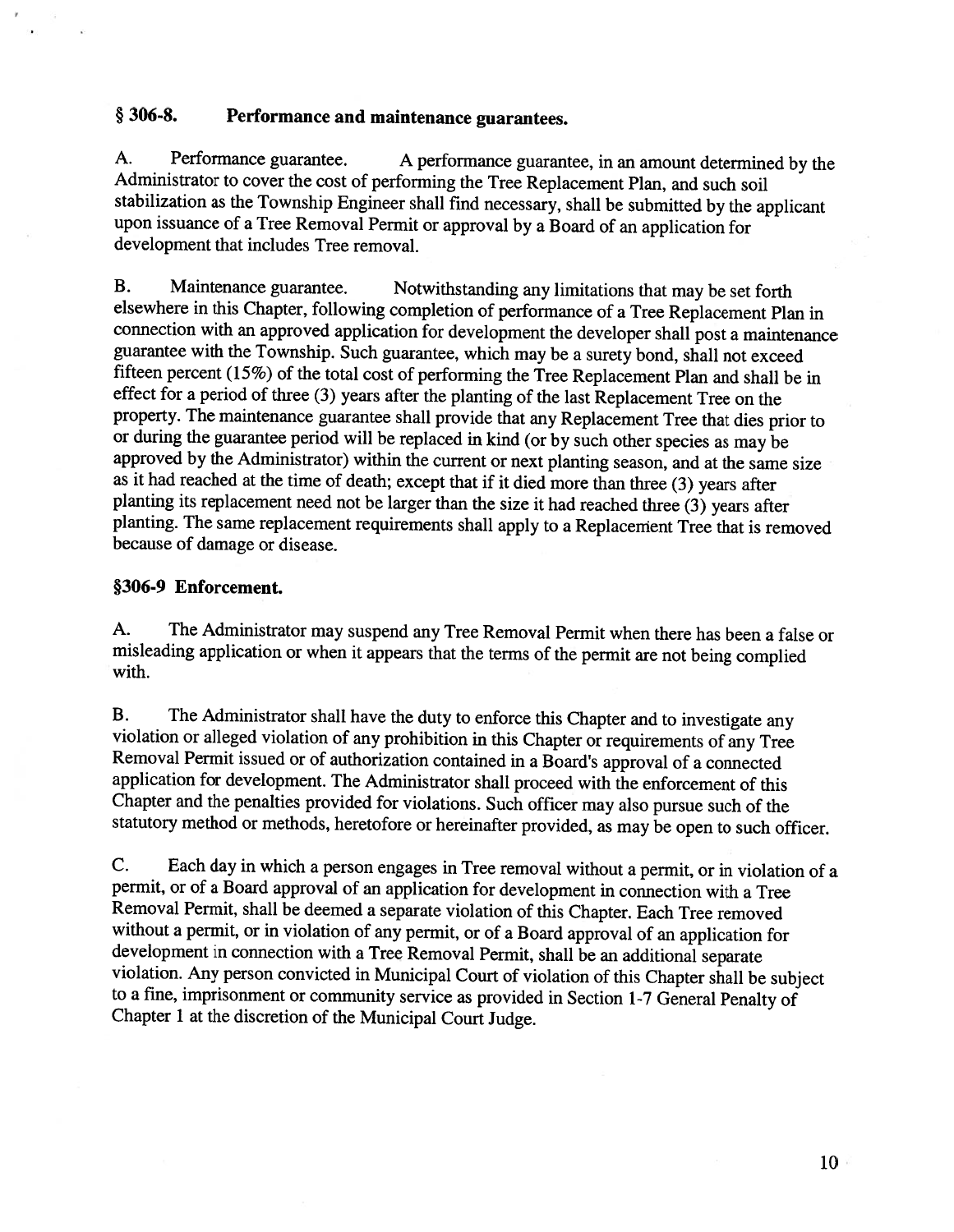# § 306-8. Performance and maintenance guarantees.

A. Performance guarantee. <sup>A</sup> performance guarantee, in an amount determined by the Administrator to cover the cost of performing the Tree Replacement Plan, and such soil stabilization as the Township Engineer shall find necessary, shall be submitted by the applicant upon issuance of <sup>a</sup> Tree Removal Permit or approval by <sup>a</sup> Board of an application for development that includes Tree removal.

B. Maintenance guarantee. Notwithstanding any limitations that may be set forth elsewhere in this Chapter, following completion of performance of <sup>a</sup> Tree Replacement Plan in connection with an approved application for development the developer shall post <sup>a</sup> maintenance guarantee with the Township. Such guarantee, which may be <sup>a</sup> surety bond, shall not exceed fifteen percent (15%) of the total cost of performing the Tree Replacement Plan and shall be in effect for <sup>a</sup> period of three (3) years after the <sup>p</sup>lanting of the last Replacement Tree on the property. The maintenance guarantee shall provide that any Replacement Tree that dies prior to or during the guarantee period will be replaced in kind (or by such other species as may be approved by the Administrator) within the current or next planting season, and at the same size as it had reached at the time of death; except that if it died more than three (3) years after <sup>p</sup>lanting its replacement need not be larger than the size it had reached three (3) years after <sup>p</sup>lanting. The same replacement requirements shall apply to <sup>a</sup> Replacement Tree that is removed because of damage or disease.

## §306-9 Enforcement.

A. The Administrator may suspend any Tree Removal Permit when there has been <sup>a</sup> false or misleading application or when it appears that the terms of the permit are not being complied with.

B. The Administrator shall have the duty to enforce this Chapter and to investigate any violation or alleged violation of any prohibition in this Chapter or requirements of any Tree Removal Permit issued or of authorizatio application for development. The Administrator shall proceed with the enforcement of this Chapter and the penalties provided for violations. Such officer may also pursue such of the statutory method or methods, heretofore or hereinafter provided, as may be open to such officer.

C. Each day in which <sup>a</sup> person engages in Tree removal without <sup>a</sup> permit, or in violation of <sup>a</sup> permit, or of <sup>a</sup> Board approval of an application for development in connection with <sup>a</sup> Tree Removal Permit, shall be deemed a separate violation of this Chapter. Each Tree removed without a permit, or in violation of any permit, or of a Board approval of an application for development in connection with a Tree Removal Permit, shall be an additional separate violation. Any person convicted in Municipal Court of violation of this Chapter shall be subject to <sup>a</sup> fine, imprisonment or community service as provided in Section 1-7 General Penalty of Chapter <sup>1</sup> at the discretion of the Municipal Court Judge.